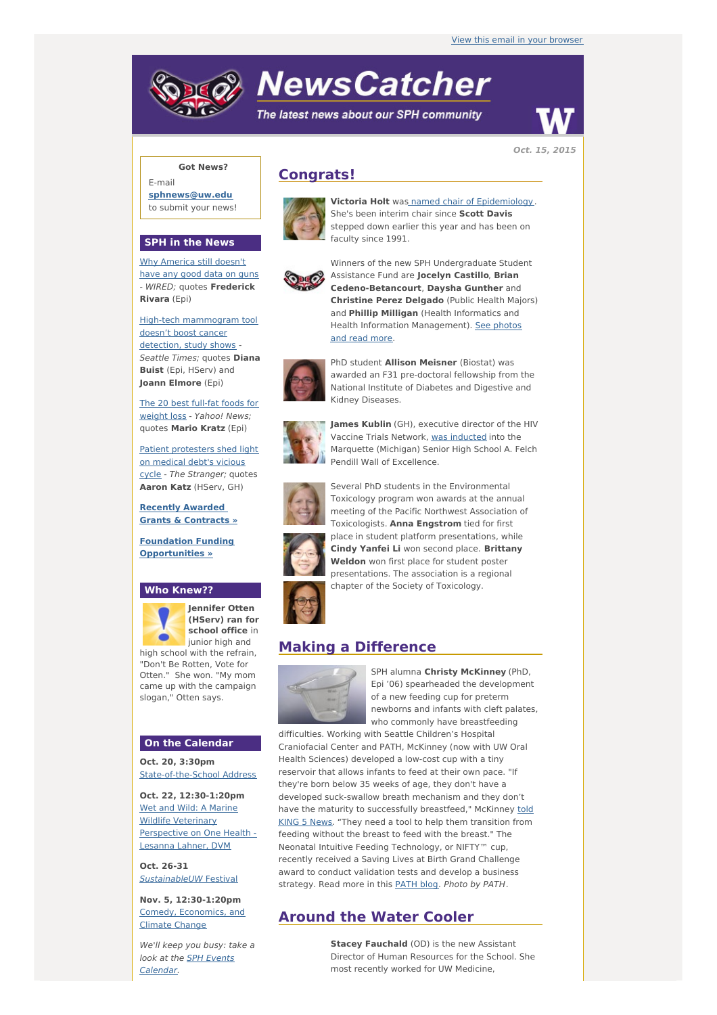# **NewsCatcher**

The latest news about our SPH community



**Oct. 15, 2015**

## **Got News?**

E-mail **[sphnews@uw.edu](mailto:sphnews@uw.edu)** to submit your news!

#### **SPH in the News**

Why [America](http://engage.washington.edu/site/R?i=DNOOVgZ_Ufq8lz_qLccBdg) still doesn't have any good data on guns - WIRED; quotes **Frederick Rivara** (Epi)

High-tech [mammogram](http://engage.washington.edu/site/R?i=6eKf2CJVaseoSH583YXoyA) tool doesn't boost cancer detection, study shows Seattle Times; quotes **Diana Buist** (Epi, HServ) and **Joann Elmore** (Epi)

The 20 best full-fat foods for weight loss - [Yahoo!](http://engage.washington.edu/site/R?i=cWxfQEwIGkuj_dHKa3uiZA) News; quotes **Mario Kratz** (Epi)

Patient [protesters](http://engage.washington.edu/site/R?i=QExWqg3pH9dyvJhupSQA7Q) shed light on medical debt's vicious cycle - The Stranger; quotes **Aaron Katz** (HServ, GH)

**Recently Awarded Grants & [Contracts](http://engage.washington.edu/site/R?i=6wRW5eoRfxN0ujce9v6OSQ) »**

**Foundation Funding [Opportunities](http://engage.washington.edu/site/R?i=nJGyf2jiReeFeKLQuzGEwA) »**

#### **Who Knew??**



**Jennifer Otten (HServ) ran for school office** in junior high and high school with the refrain, "Don't Be Rotten, Vote for

Otten." She won. "My mom came up with the campaign slogan," Otten says.

## **On the Calendar**

**Oct. 20, 3:30pm** [State-of-the-School](http://engage.washington.edu/site/R?i=gFZU3vQ14viKD5UeoWlulw) Address

**Oct. 22, 12:30-1:20pm** Wet and Wild: A Marine Wildlife Veterinary [Perspective](http://engage.washington.edu/site/R?i=rVdje7WAUkbDQnJYaVoTiw) on One Health - Lesanna Lahner, DVM

**Oct. 26-31** [SustainableUW](http://engage.washington.edu/site/R?i=NO13y20IfF7eV1rmSmDIPA) Festival

**Nov. 5, 12:30-1:20pm** Comedy, [Economics,](http://engage.washington.edu/site/R?i=EahqdBv75kcetN9uiaTylw) and Climate Change

We'll keep you busy: take a look at the SPH Events [Calendar.](http://engage.washington.edu/site/R?i=cll6B1HfoopT39rHVg-SLw)

## **Congrats!**



**Victoria Holt** was named chair of [Epidemiology](http://engage.washington.edu/site/R?i=g75xWaTibUyiYD__nLu7mA). She's been interim chair since **Scott Davis** stepped down earlier this year and has been on faculty since 1991.



Winners of the new SPH Undergraduate Student Assistance Fund are **Jocelyn Castillo**, **Brian Cedeno-Betancourt**, **Daysha Gunther** and **Christine Perez Delgado** (Public Health Majors) and **Phillip Milligan** (Health Informatics and Health Information [Management\).](http://engage.washington.edu/site/R?i=9GAa8sKlNiQJZgTKfnNrOw) See photos and read more.



PhD student **Allison Meisner** (Biostat) was awarded an F31 pre-doctoral fellowship from the National Institute of Diabetes and Digestive and Kidney Diseases.



**James Kublin** (GH), executive director of the HIV Vaccine Trials Network, was [inducted](http://engage.washington.edu/site/R?i=jaVBPd4jUIeTEAR9Pmh8fQ) into the Marquette (Michigan) Senior High School A. Felch Pendill Wall of Excellence.



Several PhD students in the Environmental Toxicology program won awards at the annual meeting of the Pacific Northwest Association of Toxicologists. **Anna Engstrom** tied for first place in student platform presentations, while **Cindy Yanfei Li** won second place. **Brittany Weldon** won first place for student poster presentations. The association is a regional chapter of the Society of Toxicology.

## **Making a Difference**



SPH alumna **Christy McKinney** (PhD, Epi '06) spearheaded the development of a new feeding cup for preterm newborns and infants with cleft palates, who commonly have breastfeeding

difficulties. Working with Seattle Children's Hospital Craniofacial Center and PATH, McKinney (now with UW Oral Health Sciences) developed a low-cost cup with a tiny reservoir that allows infants to feed at their own pace. "If they're born below 35 weeks of age, they don't have a developed suck-swallow breath mechanism and they don't have the maturity to successfully [breastfeed,"](http://engage.washington.edu/site/R?i=0GZQFKIbrg5rljwsCrI7QQ) McKinney told KING 5 News. "They need a tool to help them transition from feeding without the breast to feed with the breast." The Neonatal Intuitive Feeding Technology, or NIFTY™ cup, recently received a Saving Lives at Birth Grand Challenge award to conduct validation tests and develop a business strategy. Read more in this **[PATH](http://engage.washington.edu/site/R?i=rp_fz73TUsa56S70jOcu4g) blog. Photo by PATH.** 

## **Around the Water Cooler**

**Stacey Fauchald** (OD) is the new Assistant Director of Human Resources for the School. She most recently worked for UW Medicine,